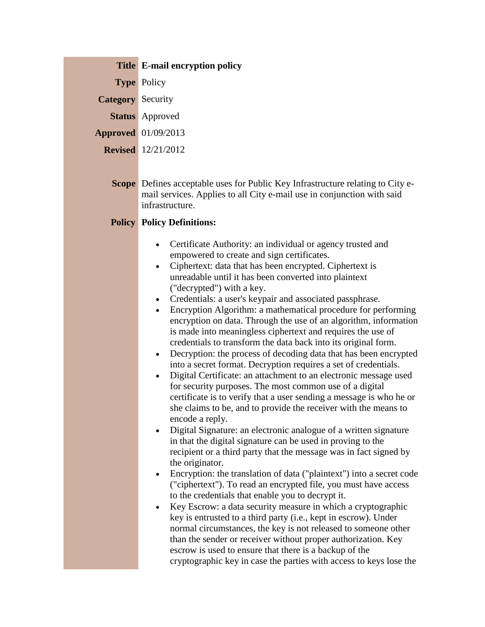**Type** Policy

**Category** Security

**Status** Approved

**Approved** 01/09/2013

**Revised** 12/21/2012

**Scope** Defines acceptable uses for Public Key Infrastructure relating to City email services. Applies to all City e-mail use in conjunction with said infrastructure.

## **Policy Policy Definitions:**

- Certificate Authority: an individual or agency trusted and empowered to create and sign certificates.
- Ciphertext: data that has been encrypted. Ciphertext is unreadable until it has been converted into plaintext ("decrypted") with a key.
- Credentials: a user's keypair and associated passphrase.
- Encryption Algorithm: a mathematical procedure for performing encryption on data. Through the use of an algorithm, information is made into meaningless ciphertext and requires the use of credentials to transform the data back into its original form.
- Decryption: the process of decoding data that has been encrypted into a secret format. Decryption requires a set of credentials.
- Digital Certificate: an attachment to an electronic message used for security purposes. The most common use of a digital certificate is to verify that a user sending a message is who he or she claims to be, and to provide the receiver with the means to encode a reply.
- Digital Signature: an electronic analogue of a written signature in that the digital signature can be used in proving to the recipient or a third party that the message was in fact signed by the originator.
- Encryption: the translation of data ("plaintext") into a secret code ("ciphertext"). To read an encrypted file, you must have access to the credentials that enable you to decrypt it.
- Key Escrow: a data security measure in which a cryptographic key is entrusted to a third party (i.e., kept in escrow). Under normal circumstances, the key is not released to someone other than the sender or receiver without proper authorization. Key escrow is used to ensure that there is a backup of the cryptographic key in case the parties with access to keys lose the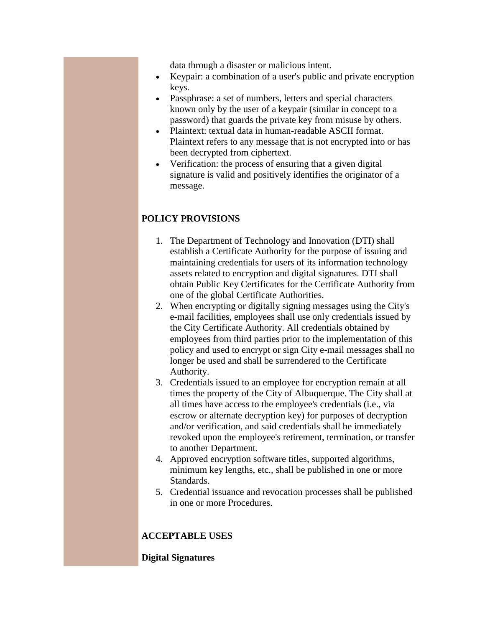data through a disaster or malicious intent.

- Keypair: a combination of a user's public and private encryption keys.
- Passphrase: a set of numbers, letters and special characters known only by the user of a keypair (similar in concept to a password) that guards the private key from misuse by others.
- Plaintext: textual data in human-readable ASCII format. Plaintext refers to any message that is not encrypted into or has been decrypted from ciphertext.
- Verification: the process of ensuring that a given digital signature is valid and positively identifies the originator of a message.

## **POLICY PROVISIONS**

- 1. The Department of Technology and Innovation (DTI) shall establish a Certificate Authority for the purpose of issuing and maintaining credentials for users of its information technology assets related to encryption and digital signatures. DTI shall obtain Public Key Certificates for the Certificate Authority from one of the global Certificate Authorities.
- 2. When encrypting or digitally signing messages using the City's e-mail facilities, employees shall use only credentials issued by the City Certificate Authority. All credentials obtained by employees from third parties prior to the implementation of this policy and used to encrypt or sign City e-mail messages shall no longer be used and shall be surrendered to the Certificate Authority.
- 3. Credentials issued to an employee for encryption remain at all times the property of the City of Albuquerque. The City shall at all times have access to the employee's credentials (i.e., via escrow or alternate decryption key) for purposes of decryption and/or verification, and said credentials shall be immediately revoked upon the employee's retirement, termination, or transfer to another Department.
- 4. Approved encryption software titles, supported algorithms, minimum key lengths, etc., shall be published in one or more Standards.
- 5. Credential issuance and revocation processes shall be published in one or more Procedures.

## **ACCEPTABLE USES**

**Digital Signatures**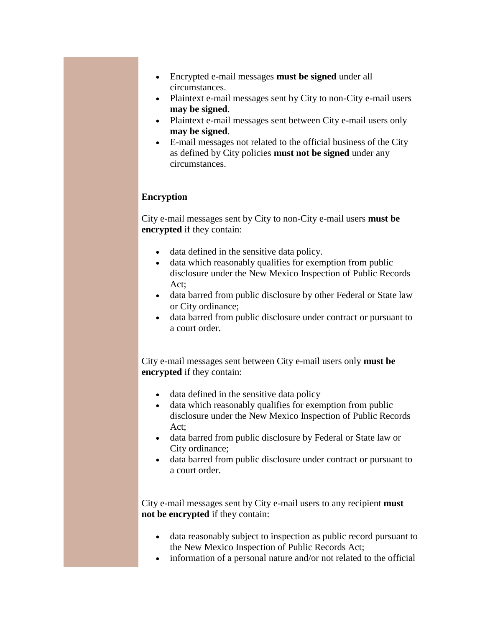- Encrypted e-mail messages **must be signed** under all circumstances.
- Plaintext e-mail messages sent by City to non-City e-mail users **may be signed**.
- Plaintext e-mail messages sent between City e-mail users only **may be signed**.
- E-mail messages not related to the official business of the City as defined by City policies **must not be signed** under any circumstances.

## **Encryption**

City e-mail messages sent by City to non-City e-mail users **must be encrypted** if they contain:

- data defined in the sensitive data policy.
- data which reasonably qualifies for exemption from public disclosure under the New Mexico Inspection of Public Records Act;
- data barred from public disclosure by other Federal or State law or City ordinance;
- data barred from public disclosure under contract or pursuant to a court order.

City e-mail messages sent between City e-mail users only **must be encrypted** if they contain:

- data defined in the sensitive data policy
- data which reasonably qualifies for exemption from public disclosure under the New Mexico Inspection of Public Records Act;
- data barred from public disclosure by Federal or State law or City ordinance;
- data barred from public disclosure under contract or pursuant to a court order.

City e-mail messages sent by City e-mail users to any recipient **must not be encrypted** if they contain:

- data reasonably subject to inspection as public record pursuant to the New Mexico Inspection of Public Records Act;
- information of a personal nature and/or not related to the official